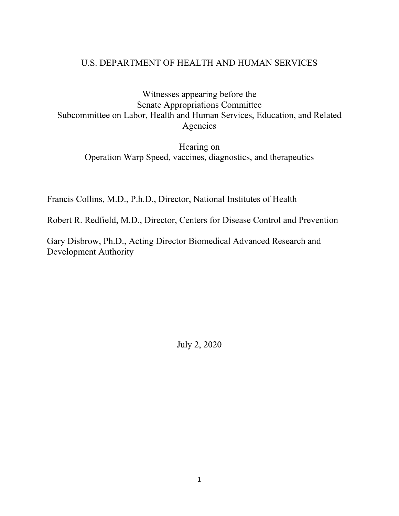# U.S. DEPARTMENT OF HEALTH AND HUMAN SERVICES

Witnesses appearing before the Senate Appropriations Committee Subcommittee on Labor, Health and Human Services, Education, and Related Agencies

Hearing on Operation Warp Speed, vaccines, diagnostics, and therapeutics

Francis Collins, M.D., P.h.D., Director, National Institutes of Health

Robert R. Redfield, M.D., Director, Centers for Disease Control and Prevention

Gary Disbrow, Ph.D., Acting Director Biomedical Advanced Research and Development Authority

July 2, 2020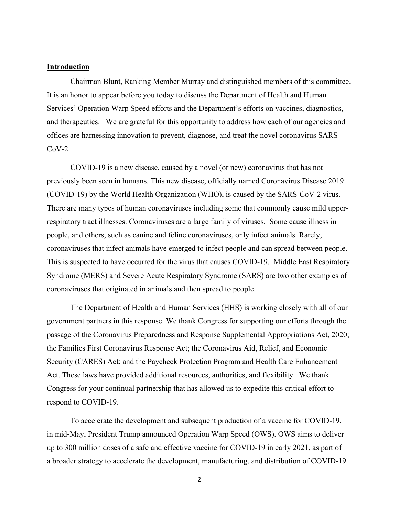#### **Introduction**

Chairman Blunt, Ranking Member Murray and distinguished members of this committee. It is an honor to appear before you today to discuss the Department of Health and Human Services' Operation Warp Speed efforts and the Department's efforts on vaccines, diagnostics, and therapeutics. We are grateful for this opportunity to address how each of our agencies and offices are harnessing innovation to prevent, diagnose, and treat the novel coronavirus SARS- $CoV-2$ .

COVID-19 is a new disease, caused by a novel (or new) coronavirus that has not previously been seen in humans. This new disease, officially named Coronavirus Disease 2019 (COVID-19) by the World Health Organization (WHO), is caused by the SARS-CoV-2 virus. There are many types of human coronaviruses including some that commonly cause mild upperrespiratory tract illnesses. Coronaviruses are a large family of viruses. Some cause illness in people, and others, such as canine and feline coronaviruses, only infect animals. Rarely, coronaviruses that infect animals have emerged to infect people and can spread between people. This is suspected to have occurred for the virus that causes COVID-19. Middle East Respiratory Syndrome (MERS) and Severe Acute Respiratory Syndrome (SARS) are two other examples of coronaviruses that originated in animals and then spread to people.

The Department of Health and Human Services (HHS) is working closely with all of our government partners in this response. We thank Congress for supporting our efforts through the passage of the Coronavirus Preparedness and Response Supplemental Appropriations Act, 2020; the Families First Coronavirus Response Act; the Coronavirus Aid, Relief, and Economic Security (CARES) Act; and the Paycheck Protection Program and Health Care Enhancement Act. These laws have provided additional resources, authorities, and flexibility. We thank Congress for your continual partnership that has allowed us to expedite this critical effort to respond to COVID-19.

To accelerate the development and subsequent production of a vaccine for COVID-19, in mid-May, President Trump announced Operation Warp Speed (OWS). OWS aims to deliver up to 300 million doses of a safe and effective vaccine for COVID-19 in early 2021, as part of a broader strategy to accelerate the development, manufacturing, and distribution of COVID-19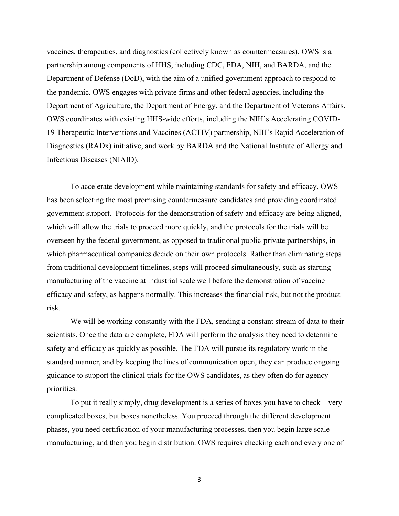vaccines, therapeutics, and diagnostics (collectively known as countermeasures). OWS is a partnership among components of HHS, including CDC, FDA, NIH, and BARDA, and the Department of Defense (DoD), with the aim of a unified government approach to respond to the pandemic. OWS engages with private firms and other federal agencies, including the Department of Agriculture, the Department of Energy, and the Department of Veterans Affairs. OWS coordinates with existing HHS-wide efforts, including the NIH's Accelerating COVID-19 Therapeutic Interventions and Vaccines (ACTIV) partnership, NIH's Rapid Acceleration of Diagnostics (RADx) initiative, and work by BARDA and the National Institute of Allergy and Infectious Diseases (NIAID).

To accelerate development while maintaining standards for safety and efficacy, OWS has been selecting the most promising countermeasure candidates and providing coordinated government support. Protocols for the demonstration of safety and efficacy are being aligned, which will allow the trials to proceed more quickly, and the protocols for the trials will be overseen by the federal government, as opposed to traditional public-private partnerships, in which pharmaceutical companies decide on their own protocols. Rather than eliminating steps from traditional development timelines, steps will proceed simultaneously, such as starting manufacturing of the vaccine at industrial scale well before the demonstration of vaccine efficacy and safety, as happens normally. This increases the financial risk, but not the product risk.

We will be working constantly with the FDA, sending a constant stream of data to their scientists. Once the data are complete, FDA will perform the analysis they need to determine safety and efficacy as quickly as possible. The FDA will pursue its regulatory work in the standard manner, and by keeping the lines of communication open, they can produce ongoing guidance to support the clinical trials for the OWS candidates, as they often do for agency priorities.

To put it really simply, drug development is a series of boxes you have to check—very complicated boxes, but boxes nonetheless. You proceed through the different development phases, you need certification of your manufacturing processes, then you begin large scale manufacturing, and then you begin distribution. OWS requires checking each and every one of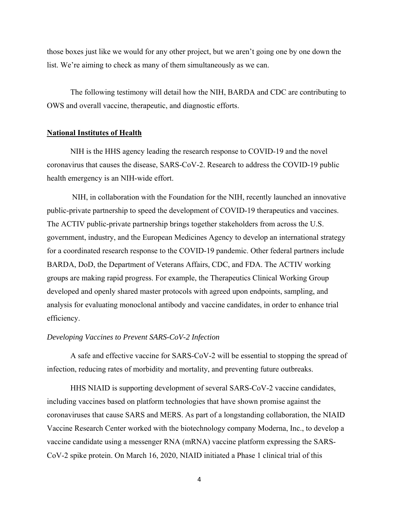those boxes just like we would for any other project, but we aren't going one by one down the list. We're aiming to check as many of them simultaneously as we can.

The following testimony will detail how the NIH, BARDA and CDC are contributing to OWS and overall vaccine, therapeutic, and diagnostic efforts.

### **National Institutes of Health**

NIH is the HHS agency leading the research response to COVID-19 and the novel coronavirus that causes the disease, SARS-CoV-2. Research to address the COVID-19 public health emergency is an NIH-wide effort.

NIH, in collaboration with the Foundation for the NIH, recently launched an innovative public-private partnership to speed the development of COVID-19 therapeutics and vaccines. The ACTIV public-private partnership brings together stakeholders from across the U.S. government, industry, and the European Medicines Agency to develop an international strategy for a coordinated research response to the COVID-19 pandemic. Other federal partners include BARDA, DoD, the Department of Veterans Affairs, CDC, and FDA. The ACTIV working groups are making rapid progress. For example, the Therapeutics Clinical Working Group developed and openly shared master protocols with agreed upon endpoints, sampling, and analysis for evaluating monoclonal antibody and vaccine candidates, in order to enhance trial efficiency.

# *Developing Vaccines to Prevent SARS-CoV-2 Infection*

A safe and effective vaccine for SARS-CoV-2 will be essential to stopping the spread of infection, reducing rates of morbidity and mortality, and preventing future outbreaks.

HHS NIAID is supporting development of several SARS-CoV-2 vaccine candidates, including vaccines based on platform technologies that have shown promise against the coronaviruses that cause SARS and MERS. As part of a longstanding collaboration, the NIAID Vaccine Research Center worked with the biotechnology company Moderna, Inc., to develop a vaccine candidate using a messenger RNA (mRNA) vaccine platform expressing the SARS-CoV-2 spike protein. On March 16, 2020, NIAID initiated a Phase 1 clinical trial of this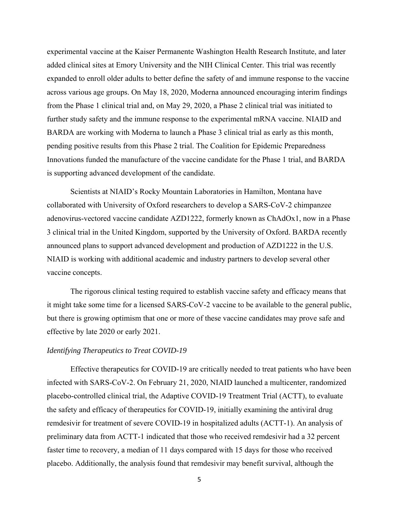experimental vaccine at the Kaiser Permanente Washington Health Research Institute, and later added clinical sites at Emory University and the NIH Clinical Center. This trial was recently expanded to enroll older adults to better define the safety of and immune response to the vaccine across various age groups. On May 18, 2020, Moderna announced encouraging interim findings from the Phase 1 clinical trial and, on May 29, 2020, a Phase 2 clinical trial was initiated to further study safety and the immune response to the experimental mRNA vaccine. NIAID and BARDA are working with Moderna to launch a Phase 3 clinical trial as early as this month, pending positive results from this Phase 2 trial. The Coalition for Epidemic Preparedness Innovations funded the manufacture of the vaccine candidate for the Phase 1 trial, and BARDA is supporting advanced development of the candidate.

Scientists at NIAID's Rocky Mountain Laboratories in Hamilton, Montana have collaborated with University of Oxford researchers to develop a SARS-CoV-2 chimpanzee adenovirus-vectored vaccine candidate AZD1222, formerly known as ChAdOx1, now in a Phase 3 clinical trial in the United Kingdom, supported by the University of Oxford. BARDA recently announced plans to support advanced development and production of AZD1222 in the U.S. NIAID is working with additional academic and industry partners to develop several other vaccine concepts.

The rigorous clinical testing required to establish vaccine safety and efficacy means that it might take some time for a licensed SARS-CoV-2 vaccine to be available to the general public, but there is growing optimism that one or more of these vaccine candidates may prove safe and effective by late 2020 or early 2021.

# *Identifying Therapeutics to Treat COVID-19*

Effective therapeutics for COVID-19 are critically needed to treat patients who have been infected with SARS-CoV-2. On February 21, 2020, NIAID launched a multicenter, randomized placebo-controlled clinical trial, the Adaptive COVID-19 Treatment Trial (ACTT), to evaluate the safety and efficacy of therapeutics for COVID-19, initially examining the antiviral drug remdesivir for treatment of severe COVID-19 in hospitalized adults (ACTT-1). An analysis of preliminary data from ACTT-1 indicated that those who received remdesivir had a 32 percent faster time to recovery, a median of 11 days compared with 15 days for those who received placebo. Additionally, the analysis found that remdesivir may benefit survival, although the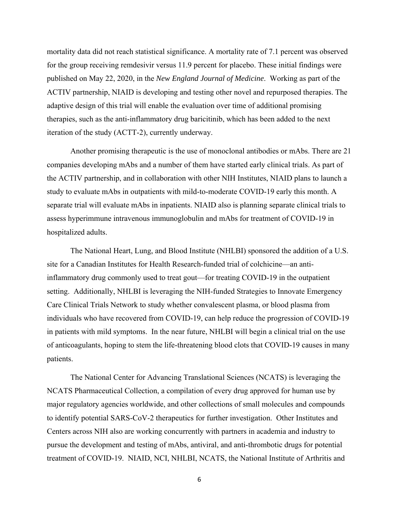mortality data did not reach statistical significance. A mortality rate of 7.1 percent was observed for the group receiving remdesivir versus 11.9 percent for placebo. These initial findings were published on May 22, 2020, in the *New England Journal of Medicine*. Working as part of the ACTIV partnership, NIAID is developing and testing other novel and repurposed therapies. The adaptive design of this trial will enable the evaluation over time of additional promising therapies, such as the anti-inflammatory drug baricitinib, which has been added to the next iteration of the study (ACTT-2), currently underway.

Another promising therapeutic is the use of monoclonal antibodies or mAbs. There are 21 companies developing mAbs and a number of them have started early clinical trials. As part of the ACTIV partnership, and in collaboration with other NIH Institutes, NIAID plans to launch a study to evaluate mAbs in outpatients with mild-to-moderate COVID-19 early this month. A separate trial will evaluate mAbs in inpatients. NIAID also is planning separate clinical trials to assess hyperimmune intravenous immunoglobulin and mAbs for treatment of COVID-19 in hospitalized adults.

The National Heart, Lung, and Blood Institute (NHLBI) sponsored the addition of a U.S. site for a Canadian Institutes for Health Research-funded trial of colchicine—an antiinflammatory drug commonly used to treat gout—for treating COVID-19 in the outpatient setting. Additionally, NHLBI is leveraging the NIH-funded Strategies to Innovate Emergency Care Clinical Trials Network to study whether convalescent plasma, or blood plasma from individuals who have recovered from COVID-19, can help reduce the progression of COVID-19 in patients with mild symptoms. In the near future, NHLBI will begin a clinical trial on the use of anticoagulants, hoping to stem the life-threatening blood clots that COVID-19 causes in many patients.

The National Center for Advancing Translational Sciences (NCATS) is leveraging the NCATS Pharmaceutical Collection, a compilation of every drug approved for human use by major regulatory agencies worldwide, and other collections of small molecules and compounds to identify potential SARS-CoV-2 therapeutics for further investigation. Other Institutes and Centers across NIH also are working concurrently with partners in academia and industry to pursue the development and testing of mAbs, antiviral, and anti-thrombotic drugs for potential treatment of COVID-19. NIAID, NCI, NHLBI, NCATS, the National Institute of Arthritis and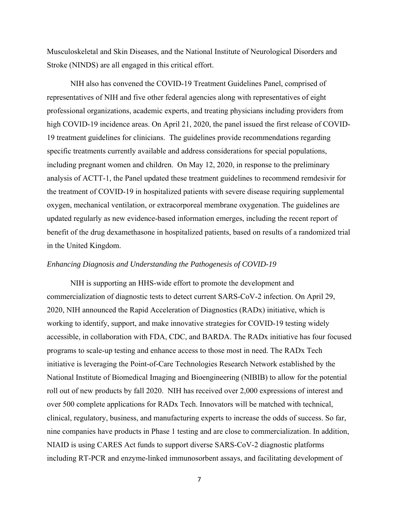Musculoskeletal and Skin Diseases, and the National Institute of Neurological Disorders and Stroke (NINDS) are all engaged in this critical effort.

NIH also has convened the COVID-19 Treatment Guidelines Panel, comprised of representatives of NIH and five other federal agencies along with representatives of eight professional organizations, academic experts, and treating physicians including providers from high COVID-19 incidence areas. On April 21, 2020, the panel issued the first release of COVID-19 treatment guidelines for clinicians. The guidelines provide recommendations regarding specific treatments currently available and address considerations for special populations, including pregnant women and children. On May 12, 2020, in response to the preliminary analysis of ACTT-1, the Panel updated these treatment guidelines to recommend remdesivir for the treatment of COVID-19 in hospitalized patients with severe disease requiring supplemental oxygen, mechanical ventilation, or extracorporeal membrane oxygenation. The guidelines are updated regularly as new evidence-based information emerges, including the recent report of benefit of the drug dexamethasone in hospitalized patients, based on results of a randomized trial in the United Kingdom.

#### *Enhancing Diagnosis and Understanding the Pathogenesis of COVID-19*

NIH is supporting an HHS-wide effort to promote the development and commercialization of diagnostic tests to detect current SARS-CoV-2 infection. On April 29, 2020, NIH announced the Rapid Acceleration of Diagnostics (RADx) initiative, which is working to identify, support, and make innovative strategies for COVID-19 testing widely accessible, in collaboration with FDA, CDC, and BARDA. The RADx initiative has four focused programs to scale-up testing and enhance access to those most in need. The RADx Tech initiative is leveraging the Point-of-Care Technologies Research Network established by the National Institute of Biomedical Imaging and Bioengineering (NIBIB) to allow for the potential roll out of new products by fall 2020. NIH has received over 2,000 expressions of interest and over 500 complete applications for RADx Tech. Innovators will be matched with technical, clinical, regulatory, business, and manufacturing experts to increase the odds of success. So far, nine companies have products in Phase 1 testing and are close to commercialization. In addition, NIAID is using CARES Act funds to support diverse SARS-CoV-2 diagnostic platforms including RT-PCR and enzyme-linked immunosorbent assays, and facilitating development of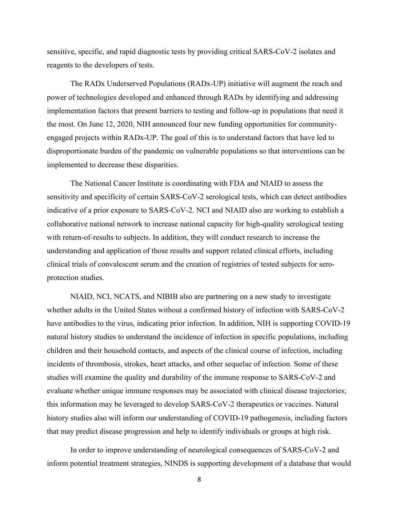sensitive, specific, and rapid diagnostic tests by providing critical SARS-CoV-2 isolates and reagents to the developers of tests.

The RADx Underserved Populations (RADx-UP) initiative will augment the reach and power of technologies developed and enhanced through RADx by identifying and addressing implementation factors that present barriers to testing and follow-up in populations that need it the most. On June 12, 2020, NIH announced four new funding opportunities for communityengaged projects within RADx-UP. The goal of this is to understand factors that have led to disproportionate burden of the pandemic on vulnerable populations so that interventions can be implemented to decrease these disparities.

The National Cancer Institute is coordinating with FDA and NIAID to assess the sensitivity and specificity of certain SARS-CoV-2 serological tests, which can detect antibodies indicative of a prior exposure to SARS-CoV-2. NCI and NIAID also are working to establish a collaborative national network to increase national capacity for high-quality serological testing with return-of-results to subjects. In addition, they will conduct research to increase the understanding and application of those results and support related clinical efforts, including clinical trials of convalescent serum and the creation of registries of tested subjects for seroprotection studies.

 NIAID, NCI, NCATS, and NIBIB also are partnering on a new study to investigate whether adults in the United States without a confirmed history of infection with SARS-CoV-2 have antibodies to the virus, indicating prior infection. In addition, NIH is supporting COVID-19 natural history studies to understand the incidence of infection in specific populations, including children and their household contacts, and aspects of the clinical course of infection, including incidents of thrombosis, strokes, heart attacks, and other sequelae of infection. Some of these studies will examine the quality and durability of the immune response to SARS-CoV-2 and evaluate whether unique immune responses may be associated with clinical disease trajectories; this information may be leveraged to develop SARS-CoV-2 therapeutics or vaccines. Natural history studies also will inform our understanding of COVID-19 pathogenesis, including factors that may predict disease progression and help to identify individuals or groups at high risk.

 In order to improve understanding of neurological consequences of SARS-CoV-2 and inform potential treatment strategies, NINDS is supporting development of a database that would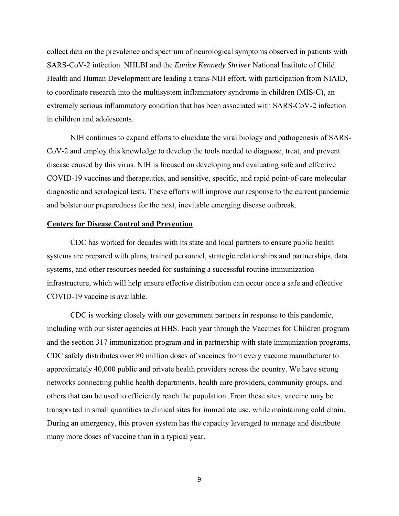collect data on the prevalence and spectrum of neurological symptoms observed in patients with SARS-CoV-2 infection. NHLBI and the *Eunice Kennedy Shriver* National Institute of Child Health and Human Development are leading a trans-NIH effort, with participation from NIAID, to coordinate research into the multisystem inflammatory syndrome in children (MIS-C), an extremely serious inflammatory condition that has been associated with SARS-CoV-2 infection in children and adolescents.

NIH continues to expand efforts to elucidate the viral biology and pathogenesis of SARS-CoV-2 and employ this knowledge to develop the tools needed to diagnose, treat, and prevent disease caused by this virus. NIH is focused on developing and evaluating safe and effective COVID-19 vaccines and therapeutics, and sensitive, specific, and rapid point-of-care molecular diagnostic and serological tests. These efforts will improve our response to the current pandemic and bolster our preparedness for the next, inevitable emerging disease outbreak.

## **Centers for Disease Control and Prevention**

CDC has worked for decades with its state and local partners to ensure public health systems are prepared with plans, trained personnel, strategic relationships and partnerships, data systems, and other resources needed for sustaining a successful routine immunization infrastructure, which will help ensure effective distribution can occur once a safe and effective COVID-19 vaccine is available.

CDC is working closely with our government partners in response to this pandemic, including with our sister agencies at HHS. Each year through the Vaccines for Children program and the section 317 immunization program and in partnership with state immunization programs, CDC safely distributes over 80 million doses of vaccines from every vaccine manufacturer to approximately 40,000 public and private health providers across the country. We have strong networks connecting public health departments, health care providers, community groups, and others that can be used to efficiently reach the population. From these sites, vaccine may be transported in small quantities to clinical sites for immediate use, while maintaining cold chain. During an emergency, this proven system has the capacity leveraged to manage and distribute many more doses of vaccine than in a typical year.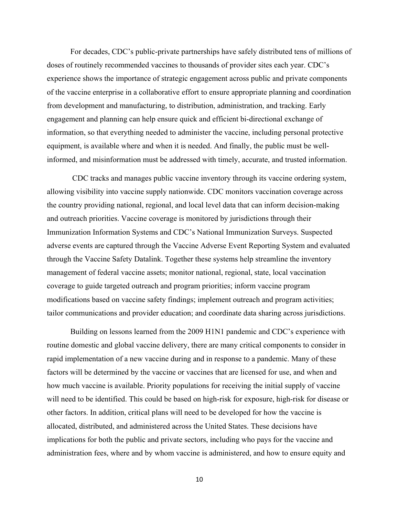For decades, CDC's public-private partnerships have safely distributed tens of millions of doses of routinely recommended vaccines to thousands of provider sites each year. CDC's experience shows the importance of strategic engagement across public and private components of the vaccine enterprise in a collaborative effort to ensure appropriate planning and coordination from development and manufacturing, to distribution, administration, and tracking. Early engagement and planning can help ensure quick and efficient bi-directional exchange of information, so that everything needed to administer the vaccine, including personal protective equipment, is available where and when it is needed. And finally, the public must be wellinformed, and misinformation must be addressed with timely, accurate, and trusted information.

 CDC tracks and manages public vaccine inventory through its vaccine ordering system, allowing visibility into vaccine supply nationwide. CDC monitors vaccination coverage across the country providing national, regional, and local level data that can inform decision-making and outreach priorities. Vaccine coverage is monitored by jurisdictions through their Immunization Information Systems and CDC's National Immunization Surveys. Suspected adverse events are captured through the Vaccine Adverse Event Reporting System and evaluated through the Vaccine Safety Datalink. Together these systems help streamline the inventory management of federal vaccine assets; monitor national, regional, state, local vaccination coverage to guide targeted outreach and program priorities; inform vaccine program modifications based on vaccine safety findings; implement outreach and program activities; tailor communications and provider education; and coordinate data sharing across jurisdictions.

 Building on lessons learned from the 2009 H1N1 pandemic and CDC's experience with routine domestic and global vaccine delivery, there are many critical components to consider in rapid implementation of a new vaccine during and in response to a pandemic. Many of these factors will be determined by the vaccine or vaccines that are licensed for use, and when and how much vaccine is available. Priority populations for receiving the initial supply of vaccine will need to be identified. This could be based on high-risk for exposure, high-risk for disease or other factors. In addition, critical plans will need to be developed for how the vaccine is allocated, distributed, and administered across the United States. These decisions have implications for both the public and private sectors, including who pays for the vaccine and administration fees, where and by whom vaccine is administered, and how to ensure equity and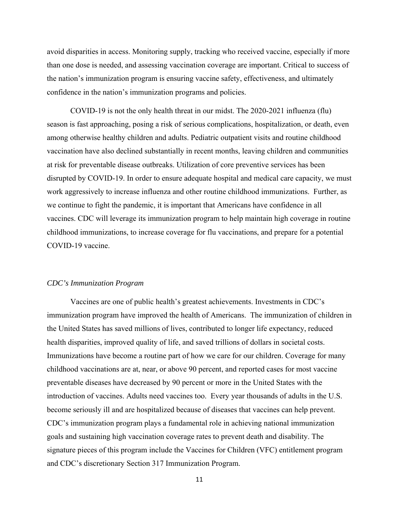avoid disparities in access. Monitoring supply, tracking who received vaccine, especially if more than one dose is needed, and assessing vaccination coverage are important. Critical to success of the nation's immunization program is ensuring vaccine safety, effectiveness, and ultimately confidence in the nation's immunization programs and policies.

COVID-19 is not the only health threat in our midst. The 2020-2021 influenza (flu) season is fast approaching, posing a risk of serious complications, hospitalization, or death, even among otherwise healthy children and adults. Pediatric outpatient visits and routine childhood vaccination have also declined substantially in recent months, leaving children and communities at risk for preventable disease outbreaks. Utilization of core preventive services has been disrupted by COVID-19. In order to ensure adequate hospital and medical care capacity, we must work aggressively to increase influenza and other routine childhood immunizations. Further, as we continue to fight the pandemic, it is important that Americans have confidence in all vaccines. CDC will leverage its immunization program to help maintain high coverage in routine childhood immunizations, to increase coverage for flu vaccinations, and prepare for a potential COVID-19 vaccine.

## *CDC's Immunization Program*

Vaccines are one of public health's greatest achievements. Investments in CDC's immunization program have improved the health of Americans. The immunization of children in the United States has saved millions of lives, contributed to longer life expectancy, reduced health disparities, improved quality of life, and saved trillions of dollars in societal costs. Immunizations have become a routine part of how we care for our children. Coverage for many childhood vaccinations are at, near, or above 90 percent, and reported cases for most vaccine preventable diseases have decreased by 90 percent or more in the United States with the introduction of vaccines. Adults need vaccines too. Every year thousands of adults in the U.S. become seriously ill and are hospitalized because of diseases that vaccines can help prevent. CDC's immunization program plays a fundamental role in achieving national immunization goals and sustaining high vaccination coverage rates to prevent death and disability. The signature pieces of this program include the Vaccines for Children (VFC) entitlement program and CDC's discretionary Section 317 Immunization Program.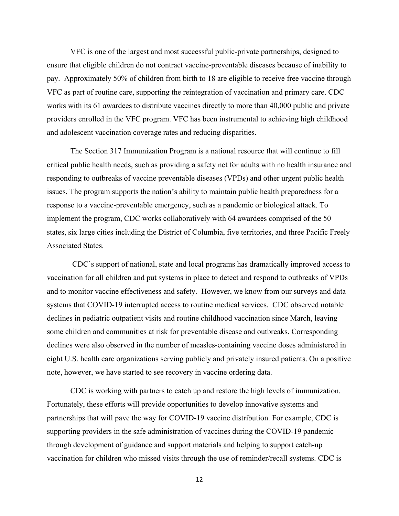VFC is one of the largest and most successful public-private partnerships, designed to ensure that eligible children do not contract vaccine-preventable diseases because of inability to pay. Approximately 50% of children from birth to 18 are eligible to receive free vaccine through VFC as part of routine care, supporting the reintegration of vaccination and primary care. CDC works with its 61 awardees to distribute vaccines directly to more than 40,000 public and private providers enrolled in the VFC program. VFC has been instrumental to achieving high childhood and adolescent vaccination coverage rates and reducing disparities.

The Section 317 Immunization Program is a national resource that will continue to fill critical public health needs, such as providing a safety net for adults with no health insurance and responding to outbreaks of vaccine preventable diseases (VPDs) and other urgent public health issues. The program supports the nation's ability to maintain public health preparedness for a response to a vaccine-preventable emergency, such as a pandemic or biological attack. To implement the program, CDC works collaboratively with 64 awardees comprised of the 50 states, six large cities including the District of Columbia, five territories, and three Pacific Freely Associated States.

 CDC's support of national, state and local programs has dramatically improved access to vaccination for all children and put systems in place to detect and respond to outbreaks of VPDs and to monitor vaccine effectiveness and safety. However, we know from our surveys and data systems that COVID-19 interrupted access to routine medical services. CDC observed notable declines in pediatric outpatient visits and routine childhood vaccination since March, leaving some children and communities at risk for preventable disease and outbreaks. Corresponding declines were also observed in the number of measles-containing vaccine doses administered in eight U.S. health care organizations serving publicly and privately insured patients. On a positive note, however, we have started to see recovery in vaccine ordering data.

CDC is working with partners to catch up and restore the high levels of immunization. Fortunately, these efforts will provide opportunities to develop innovative systems and partnerships that will pave the way for COVID-19 vaccine distribution. For example, CDC is supporting providers in the safe administration of vaccines during the COVID-19 pandemic through development of guidance and support materials and helping to support catch-up vaccination for children who missed visits through the use of reminder/recall systems. CDC is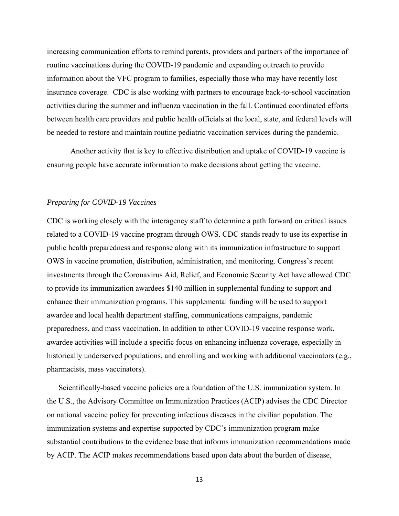increasing communication efforts to remind parents, providers and partners of the importance of routine vaccinations during the COVID-19 pandemic and expanding outreach to provide information about the VFC program to families, especially those who may have recently lost insurance coverage. CDC is also working with partners to encourage back-to-school vaccination activities during the summer and influenza vaccination in the fall. Continued coordinated efforts between health care providers and public health officials at the local, state, and federal levels will be needed to restore and maintain routine pediatric vaccination services during the pandemic.

Another activity that is key to effective distribution and uptake of COVID-19 vaccine is ensuring people have accurate information to make decisions about getting the vaccine.

# *Preparing for COVID-19 Vaccines*

CDC is working closely with the interagency staff to determine a path forward on critical issues related to a COVID-19 vaccine program through OWS. CDC stands ready to use its expertise in public health preparedness and response along with its immunization infrastructure to support OWS in vaccine promotion, distribution, administration, and monitoring. Congress's recent investments through the Coronavirus Aid, Relief, and Economic Security Act have allowed CDC to provide its immunization awardees \$140 million in supplemental funding to support and enhance their immunization programs. This supplemental funding will be used to support awardee and local health department staffing, communications campaigns, pandemic preparedness, and mass vaccination. In addition to other COVID-19 vaccine response work, awardee activities will include a specific focus on enhancing influenza coverage, especially in historically underserved populations, and enrolling and working with additional vaccinators (e.g., pharmacists, mass vaccinators).

Scientifically-based vaccine policies are a foundation of the U.S. immunization system. In the U.S., the Advisory Committee on Immunization Practices (ACIP) advises the CDC Director on national vaccine policy for preventing infectious diseases in the civilian population. The immunization systems and expertise supported by CDC's immunization program make substantial contributions to the evidence base that informs immunization recommendations made by ACIP. The ACIP makes recommendations based upon data about the burden of disease,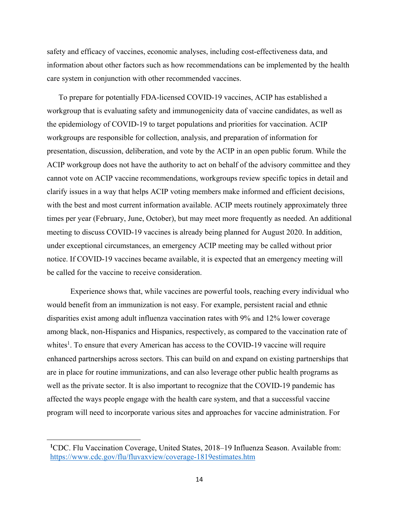safety and efficacy of vaccines, economic analyses, including cost-effectiveness data, and information about other factors such as how recommendations can be implemented by the health care system in conjunction with other recommended vaccines.

To prepare for potentially FDA-licensed COVID-19 vaccines, ACIP has established a workgroup that is evaluating safety and immunogenicity data of vaccine candidates, as well as the epidemiology of COVID-19 to target populations and priorities for vaccination. ACIP workgroups are responsible for collection, analysis, and preparation of information for presentation, discussion, deliberation, and vote by the ACIP in an open public forum. While the ACIP workgroup does not have the authority to act on behalf of the advisory committee and they cannot vote on ACIP vaccine recommendations, workgroups review specific topics in detail and clarify issues in a way that helps ACIP voting members make informed and efficient decisions, with the best and most current information available. ACIP meets routinely approximately three times per year (February, June, October), but may meet more frequently as needed. An additional meeting to discuss COVID-19 vaccines is already being planned for August 2020. In addition, under exceptional circumstances, an emergency ACIP meeting may be called without prior notice. If COVID-19 vaccines became available, it is expected that an emergency meeting will be called for the vaccine to receive consideration.

Experience shows that, while vaccines are powerful tools, reaching every individual who would benefit from an immunization is not easy. For example, persistent racial and ethnic disparities exist among adult influenza vaccination rates with 9% and 12% lower coverage among black, non-Hispanics and Hispanics, respectively, as compared to the vaccination rate of whites<sup>1</sup>. To ensure that every American has access to the COVID-19 vaccine will require enhanced partnerships across sectors. This can build on and expand on existing partnerships that are in place for routine immunizations, and can also leverage other public health programs as well as the private sector. It is also important to recognize that the COVID-19 pandemic has affected the ways people engage with the health care system, and that a successful vaccine program will need to incorporate various sites and approaches for vaccine administration. For

**<sup>1</sup>**CDC. Flu Vaccination Coverage, United States, 2018–19 Influenza Season. Available from: https://www.cdc.gov/flu/fluvaxview/coverage-1819estimates.htm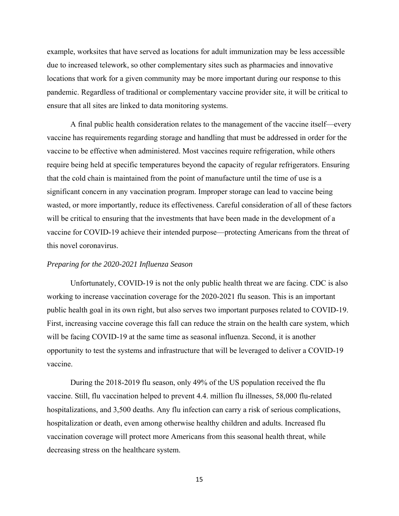example, worksites that have served as locations for adult immunization may be less accessible due to increased telework, so other complementary sites such as pharmacies and innovative locations that work for a given community may be more important during our response to this pandemic. Regardless of traditional or complementary vaccine provider site, it will be critical to ensure that all sites are linked to data monitoring systems.

A final public health consideration relates to the management of the vaccine itself—every vaccine has requirements regarding storage and handling that must be addressed in order for the vaccine to be effective when administered. Most vaccines require refrigeration, while others require being held at specific temperatures beyond the capacity of regular refrigerators. Ensuring that the cold chain is maintained from the point of manufacture until the time of use is a significant concern in any vaccination program. Improper storage can lead to vaccine being wasted, or more importantly, reduce its effectiveness. Careful consideration of all of these factors will be critical to ensuring that the investments that have been made in the development of a vaccine for COVID-19 achieve their intended purpose—protecting Americans from the threat of this novel coronavirus.

## *Preparing for the 2020-2021 Influenza Season*

Unfortunately, COVID-19 is not the only public health threat we are facing. CDC is also working to increase vaccination coverage for the 2020-2021 flu season. This is an important public health goal in its own right, but also serves two important purposes related to COVID-19. First, increasing vaccine coverage this fall can reduce the strain on the health care system, which will be facing COVID-19 at the same time as seasonal influenza. Second, it is another opportunity to test the systems and infrastructure that will be leveraged to deliver a COVID-19 vaccine.

During the 2018-2019 flu season, only 49% of the US population received the flu vaccine. Still, flu vaccination helped to prevent 4.4. million flu illnesses, 58,000 flu-related hospitalizations, and 3,500 deaths. Any flu infection can carry a risk of serious complications, hospitalization or death, even among otherwise healthy children and adults. Increased flu vaccination coverage will protect more Americans from this seasonal health threat, while decreasing stress on the healthcare system.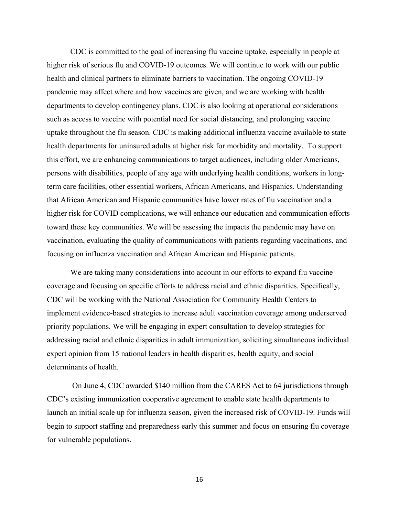CDC is committed to the goal of increasing flu vaccine uptake, especially in people at higher risk of serious flu and COVID-19 outcomes. We will continue to work with our public health and clinical partners to eliminate barriers to vaccination. The ongoing COVID-19 pandemic may affect where and how vaccines are given, and we are working with health departments to develop contingency plans. CDC is also looking at operational considerations such as access to vaccine with potential need for social distancing, and prolonging vaccine uptake throughout the flu season. CDC is making additional influenza vaccine available to state health departments for uninsured adults at higher risk for morbidity and mortality. To support this effort, we are enhancing communications to target audiences, including older Americans, persons with disabilities, people of any age with underlying health conditions, workers in longterm care facilities, other essential workers, African Americans, and Hispanics. Understanding that African American and Hispanic communities have lower rates of flu vaccination and a higher risk for COVID complications, we will enhance our education and communication efforts toward these key communities. We will be assessing the impacts the pandemic may have on vaccination, evaluating the quality of communications with patients regarding vaccinations, and focusing on influenza vaccination and African American and Hispanic patients.

We are taking many considerations into account in our efforts to expand flu vaccine coverage and focusing on specific efforts to address racial and ethnic disparities. Specifically, CDC will be working with the National Association for Community Health Centers to implement evidence-based strategies to increase adult vaccination coverage among underserved priority populations. We will be engaging in expert consultation to develop strategies for addressing racial and ethnic disparities in adult immunization, soliciting simultaneous individual expert opinion from 15 national leaders in health disparities, health equity, and social determinants of health.

 On June 4, CDC awarded \$140 million from the CARES Act to 64 jurisdictions through CDC's existing immunization cooperative agreement to enable state health departments to launch an initial scale up for influenza season, given the increased risk of COVID-19. Funds will begin to support staffing and preparedness early this summer and focus on ensuring flu coverage for vulnerable populations.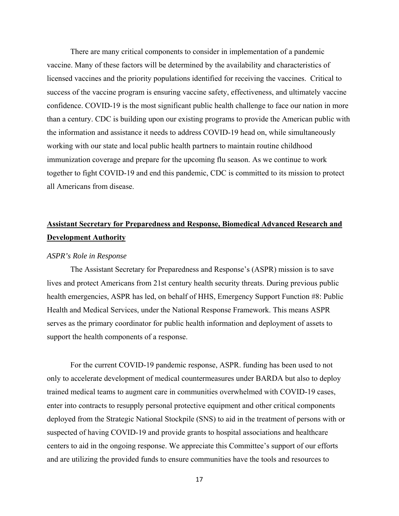There are many critical components to consider in implementation of a pandemic vaccine. Many of these factors will be determined by the availability and characteristics of licensed vaccines and the priority populations identified for receiving the vaccines. Critical to success of the vaccine program is ensuring vaccine safety, effectiveness, and ultimately vaccine confidence. COVID-19 is the most significant public health challenge to face our nation in more than a century. CDC is building upon our existing programs to provide the American public with the information and assistance it needs to address COVID-19 head on, while simultaneously working with our state and local public health partners to maintain routine childhood immunization coverage and prepare for the upcoming flu season. As we continue to work together to fight COVID-19 and end this pandemic, CDC is committed to its mission to protect all Americans from disease.

# **Assistant Secretary for Preparedness and Response, Biomedical Advanced Research and Development Authority**

#### *ASPR's Role in Response*

The Assistant Secretary for Preparedness and Response's (ASPR) mission is to save lives and protect Americans from 21st century health security threats. During previous public health emergencies, ASPR has led, on behalf of HHS, Emergency Support Function #8: Public Health and Medical Services, under the National Response Framework. This means ASPR serves as the primary coordinator for public health information and deployment of assets to support the health components of a response.

For the current COVID-19 pandemic response, ASPR. funding has been used to not only to accelerate development of medical countermeasures under BARDA but also to deploy trained medical teams to augment care in communities overwhelmed with COVID-19 cases, enter into contracts to resupply personal protective equipment and other critical components deployed from the Strategic National Stockpile (SNS) to aid in the treatment of persons with or suspected of having COVID-19 and provide grants to hospital associations and healthcare centers to aid in the ongoing response. We appreciate this Committee's support of our efforts and are utilizing the provided funds to ensure communities have the tools and resources to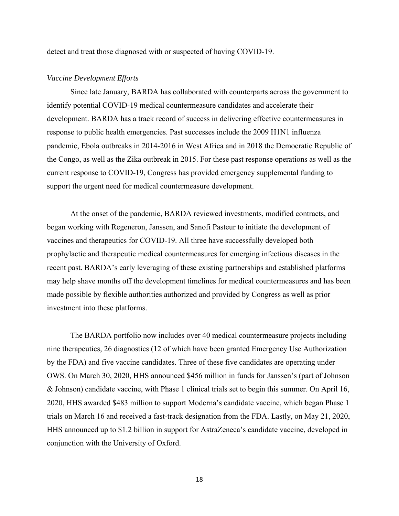detect and treat those diagnosed with or suspected of having COVID-19.

#### *Vaccine Development Efforts*

Since late January, BARDA has collaborated with counterparts across the government to identify potential COVID-19 medical countermeasure candidates and accelerate their development. BARDA has a track record of success in delivering effective countermeasures in response to public health emergencies. Past successes include the 2009 H1N1 influenza pandemic, Ebola outbreaks in 2014-2016 in West Africa and in 2018 the Democratic Republic of the Congo, as well as the Zika outbreak in 2015. For these past response operations as well as the current response to COVID-19, Congress has provided emergency supplemental funding to support the urgent need for medical countermeasure development.

At the onset of the pandemic, BARDA reviewed investments, modified contracts, and began working with Regeneron, Janssen, and Sanofi Pasteur to initiate the development of vaccines and therapeutics for COVID-19. All three have successfully developed both prophylactic and therapeutic medical countermeasures for emerging infectious diseases in the recent past. BARDA's early leveraging of these existing partnerships and established platforms may help shave months off the development timelines for medical countermeasures and has been made possible by flexible authorities authorized and provided by Congress as well as prior investment into these platforms.

The BARDA portfolio now includes over 40 medical countermeasure projects including nine therapeutics, 26 diagnostics (12 of which have been granted Emergency Use Authorization by the FDA) and five vaccine candidates. Three of these five candidates are operating under OWS. On March 30, 2020, HHS announced \$456 million in funds for Janssen's (part of Johnson & Johnson) candidate vaccine, with Phase 1 clinical trials set to begin this summer. On April 16, 2020, HHS awarded \$483 million to support Moderna's candidate vaccine, which began Phase 1 trials on March 16 and received a fast-track designation from the FDA. Lastly, on May 21, 2020, HHS announced up to \$1.2 billion in support for AstraZeneca's candidate vaccine, developed in conjunction with the University of Oxford.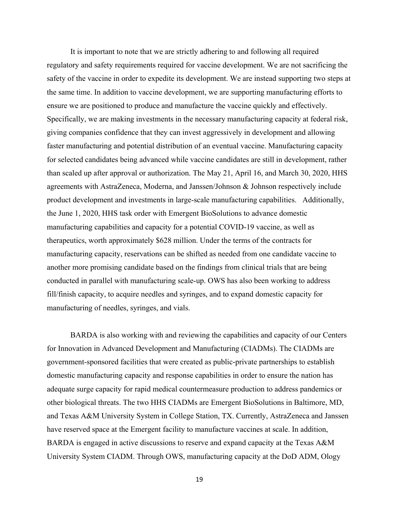It is important to note that we are strictly adhering to and following all required regulatory and safety requirements required for vaccine development. We are not sacrificing the safety of the vaccine in order to expedite its development. We are instead supporting two steps at the same time. In addition to vaccine development, we are supporting manufacturing efforts to ensure we are positioned to produce and manufacture the vaccine quickly and effectively. Specifically, we are making investments in the necessary manufacturing capacity at federal risk, giving companies confidence that they can invest aggressively in development and allowing faster manufacturing and potential distribution of an eventual vaccine. Manufacturing capacity for selected candidates being advanced while vaccine candidates are still in development, rather than scaled up after approval or authorization. The May 21, April 16, and March 30, 2020, HHS agreements with AstraZeneca, Moderna, and Janssen/Johnson & Johnson respectively include product development and investments in large-scale manufacturing capabilities. Additionally, the June 1, 2020, HHS task order with Emergent BioSolutions to advance domestic manufacturing capabilities and capacity for a potential COVID-19 vaccine, as well as therapeutics, worth approximately \$628 million. Under the terms of the contracts for manufacturing capacity, reservations can be shifted as needed from one candidate vaccine to another more promising candidate based on the findings from clinical trials that are being conducted in parallel with manufacturing scale-up. OWS has also been working to address fill/finish capacity, to acquire needles and syringes, and to expand domestic capacity for manufacturing of needles, syringes, and vials.

BARDA is also working with and reviewing the capabilities and capacity of our Centers for Innovation in Advanced Development and Manufacturing (CIADMs). The CIADMs are government-sponsored facilities that were created as public-private partnerships to establish domestic manufacturing capacity and response capabilities in order to ensure the nation has adequate surge capacity for rapid medical countermeasure production to address pandemics or other biological threats. The two HHS CIADMs are Emergent BioSolutions in Baltimore, MD, and Texas A&M University System in College Station, TX. Currently, AstraZeneca and Janssen have reserved space at the Emergent facility to manufacture vaccines at scale. In addition, BARDA is engaged in active discussions to reserve and expand capacity at the Texas A&M University System CIADM. Through OWS, manufacturing capacity at the DoD ADM, Ology